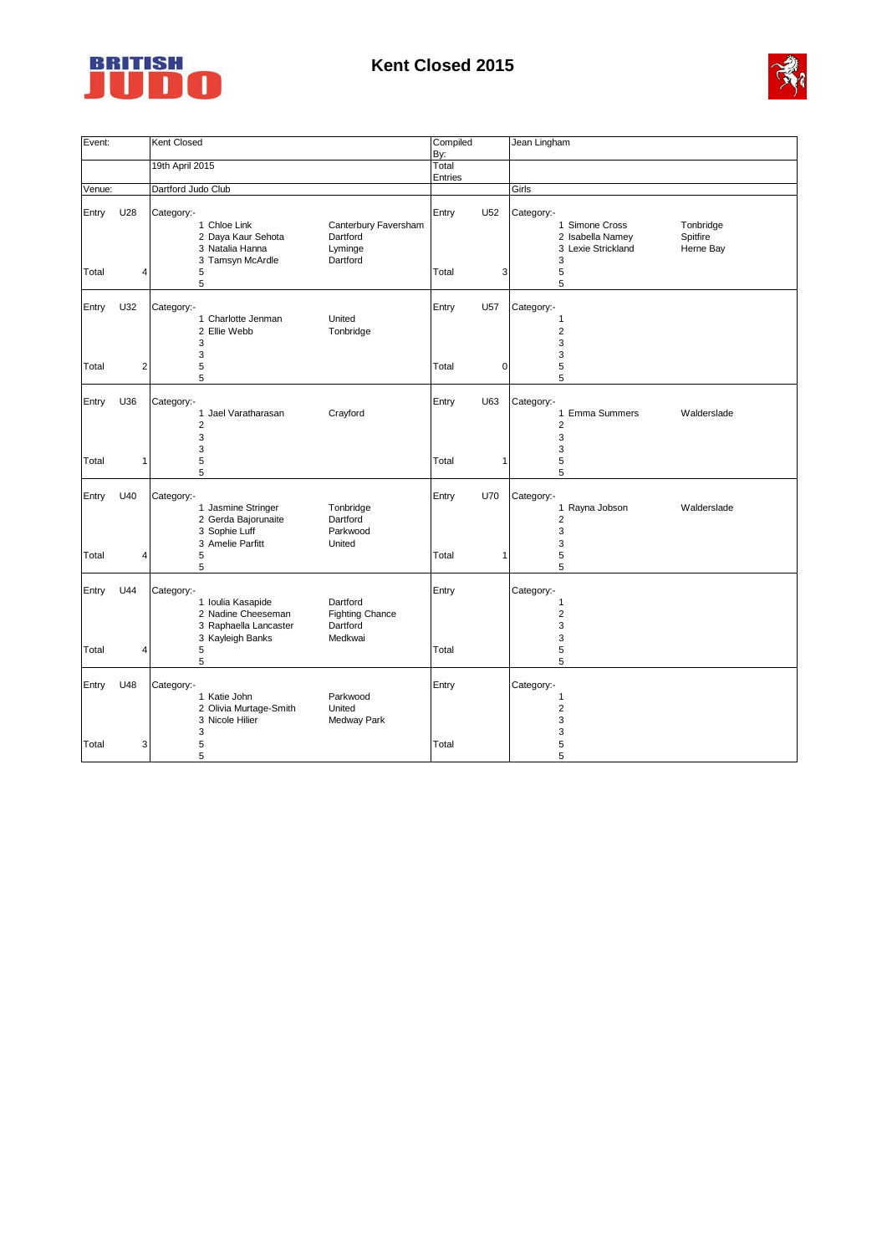

## **Kent Closed 2015**



| Event: |                | Kent Closed                                                                                                                                                     | Compiled<br>By:          | Jean Lingham                                                                                                      |
|--------|----------------|-----------------------------------------------------------------------------------------------------------------------------------------------------------------|--------------------------|-------------------------------------------------------------------------------------------------------------------|
|        |                | 19th April 2015                                                                                                                                                 | Total                    |                                                                                                                   |
| Venue: |                | Dartford Judo Club                                                                                                                                              | Entries                  | Girls                                                                                                             |
| Entry  | U28            | Category:-<br>1 Chloe Link<br>Canterbury Faversham<br>2 Daya Kaur Sehota<br>Dartford<br>3 Natalia Hanna<br>Lyminge<br>3 Tamsyn McArdle<br>Dartford              | U <sub>52</sub><br>Entry | Category:-<br>1 Simone Cross<br>Tonbridge<br>2 Isabella Namey<br>Spitfire<br>3 Lexie Strickland<br>Herne Bay<br>3 |
| Total  | 4              | 5<br>5                                                                                                                                                          | Total<br>3               | 5<br>5                                                                                                            |
| Entry  | U32            | Category:-<br>United<br>1 Charlotte Jenman<br>2 Ellie Webb<br>Tonbridge<br>3<br>3                                                                               | Entry<br>U57             | Category:-<br>$\mathbf{1}$<br>$\overline{2}$<br>3<br>3                                                            |
| Total  | $\overline{2}$ | 5<br>5                                                                                                                                                          | $\mathbf 0$<br>Total     | 5<br>5                                                                                                            |
| Entry  | U36            | Category:-<br>1 Jael Varatharasan<br>Crayford<br>$\overline{2}$<br>3<br>3                                                                                       | U63<br>Entry             | Category:-<br>1 Emma Summers<br>Walderslade<br>$\overline{2}$<br>3<br>3                                           |
| Total  | $\mathbf{1}$   | 5<br>5                                                                                                                                                          | Total<br>1               | 5<br>5                                                                                                            |
| Entry  | U40            | Category:-<br>1 Jasmine Stringer<br>Tonbridge<br>Dartford<br>2 Gerda Bajorunaite<br>3 Sophie Luff<br>Parkwood<br>3 Amelie Parfitt<br>United                     | U70<br>Entry             | Category:-<br>1 Rayna Jobson<br>Walderslade<br>$\overline{2}$<br>3<br>3                                           |
| Total  | $\overline{4}$ | 5<br>5                                                                                                                                                          | Total<br>$\mathbf{1}$    | 5<br>5                                                                                                            |
| Entry  | U44            | Category:-<br>Dartford<br>1 Ioulia Kasapide<br>2 Nadine Cheeseman<br><b>Fighting Chance</b><br>3 Raphaella Lancaster<br>Dartford<br>3 Kayleigh Banks<br>Medkwai | Entry                    | Category:-<br>$\mathbf{1}$<br>$\overline{2}$<br>3<br>3                                                            |
| Total  | $\overline{4}$ | 5<br>5                                                                                                                                                          | Total                    | 5<br>5                                                                                                            |
| Entry  | U48            | Category:-<br>1 Katie John<br>Parkwood<br>United<br>2 Olivia Murtage-Smith<br>3 Nicole Hilier<br>Medway Park                                                    | Entry                    | Category:-<br>$\mathbf{1}$<br>$\overline{2}$<br>3                                                                 |
| Total  | 3              | 3<br>5<br>5                                                                                                                                                     | Total                    | 3<br>5<br>5                                                                                                       |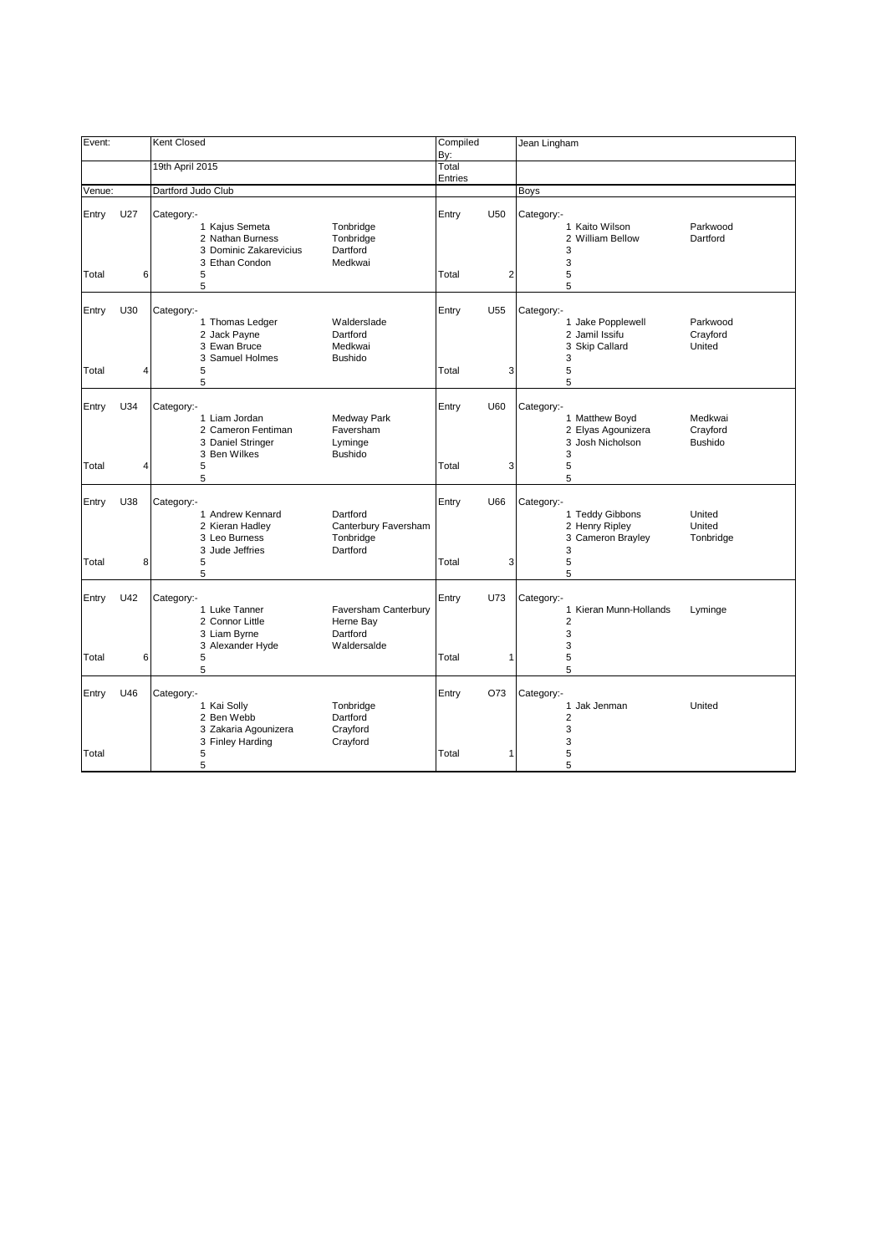| Event:         |          | Kent Closed                                                                                                                                                  | Compiled<br>By:       |   | Jean Lingham                                                                                                                   |
|----------------|----------|--------------------------------------------------------------------------------------------------------------------------------------------------------------|-----------------------|---|--------------------------------------------------------------------------------------------------------------------------------|
|                |          | 19th April 2015                                                                                                                                              | Total<br>Entries      |   |                                                                                                                                |
| Venue:         |          | Dartford Judo Club                                                                                                                                           |                       |   | Boys                                                                                                                           |
| Entry<br>Total | U27<br>6 | Category:-<br>1 Kajus Semeta<br>Tonbridge<br>2 Nathan Burness<br>Tonbridge<br>Dartford<br>3 Dominic Zakarevicius<br>3 Ethan Condon<br>Medkwai<br>5<br>5      | Entry<br>U50<br>Total | 2 | Category:-<br>1 Kaito Wilson<br>Parkwood<br>2 William Bellow<br>Dartford<br>3<br>3<br>5<br>5                                   |
| Entry<br>Total | U30<br>4 | Category:-<br>1 Thomas Ledger<br>Walderslade<br>2 Jack Payne<br>Dartford<br>3 Ewan Bruce<br>Medkwai<br>3 Samuel Holmes<br><b>Bushido</b><br>5<br>5           | Entry<br>U55<br>Total | 3 | Category:-<br>1 Jake Popplewell<br>Parkwood<br>2 Jamil Issifu<br>Crayford<br>3 Skip Callard<br>United<br>3<br>5<br>5           |
| Entry<br>Total | U34<br>4 | Category:-<br>1 Liam Jordan<br>Medway Park<br>2 Cameron Fentiman<br>Faversham<br>3 Daniel Stringer<br>Lyminge<br>3 Ben Wilkes<br><b>Bushido</b><br>5<br>5    | Entry<br>U60<br>Total | 3 | Category:-<br>1 Matthew Boyd<br>Medkwai<br>2 Elyas Agounizera<br>Crayford<br>3 Josh Nicholson<br><b>Bushido</b><br>3<br>5<br>5 |
| Entry<br>Total | U38<br>8 | Category:-<br>1 Andrew Kennard<br>Dartford<br>2 Kieran Hadley<br>Canterbury Faversham<br>3 Leo Burness<br>Tonbridge<br>Dartford<br>3 Jude Jeffries<br>5<br>5 | Entry<br>U66<br>Total | 3 | Category:-<br>1 Teddy Gibbons<br>United<br>2 Henry Ripley<br>United<br>3 Cameron Brayley<br>Tonbridge<br>3<br>5<br>5           |
| Entry<br>Total | U42<br>6 | Category:-<br>1 Luke Tanner<br>Faversham Canterbury<br>2 Connor Little<br>Herne Bay<br>3 Liam Byrne<br>Dartford<br>3 Alexander Hyde<br>Waldersalde<br>5      | U73<br>Entry<br>Total | 1 | Category:-<br>1 Kieran Munn-Hollands<br>Lyminge<br>2<br>3<br>3<br>5                                                            |
| Entry<br>Total | U46      | 5<br>Category:-<br>1 Kai Solly<br>Tonbridge<br>2 Ben Webb<br>Dartford<br>3 Zakaria Agounizera<br>Crayford<br>3 Finley Harding<br>Crayford<br>5<br>5          | Entry<br>O73<br>Total | 1 | 5<br>Category:-<br>1 Jak Jenman<br>United<br>$\overline{2}$<br>3<br>3<br>5<br>5                                                |